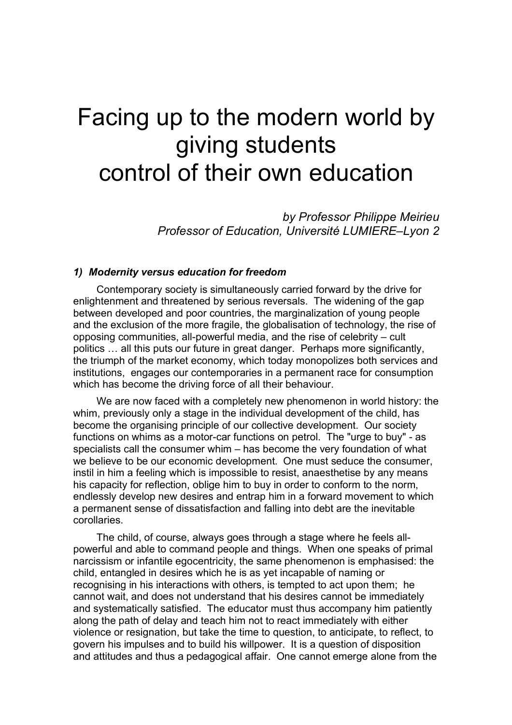# Facing up to the modern world by giving students control of their own education

*by Professor Philippe Meirieu Professor of Education, Université LUMIERE–Lyon 2*

### *1) Modernity versus education for freedom*

Contemporary society is simultaneously carried forward by the drive for enlightenment and threatened by serious reversals. The widening of the gap between developed and poor countries, the marginalization of young people and the exclusion of the more fragile, the globalisation of technology, the rise of opposing communities, all-powerful media, and the rise of celebrity – cult politics … all this puts our future in great danger. Perhaps more significantly, the triumph of the market economy, which today monopolizes both services and institutions, engages our contemporaries in a permanent race for consumption which has become the driving force of all their behaviour.

We are now faced with a completely new phenomenon in world history: the whim, previously only a stage in the individual development of the child, has become the organising principle of our collective development. Our society functions on whims as a motor-car functions on petrol. The "urge to buy" - as specialists call the consumer whim – has become the very foundation of what we believe to be our economic development. One must seduce the consumer, instil in him a feeling which is impossible to resist, anaesthetise by any means his capacity for reflection, oblige him to buy in order to conform to the norm, endlessly develop new desires and entrap him in a forward movement to which a permanent sense of dissatisfaction and falling into debt are the inevitable corollaries.

The child, of course, always goes through a stage where he feels allpowerful and able to command people and things. When one speaks of primal narcissism or infantile egocentricity, the same phenomenon is emphasised: the child, entangled in desires which he is as yet incapable of naming or recognising in his interactions with others, is tempted to act upon them; he cannot wait, and does not understand that his desires cannot be immediately and systematically satisfied. The educator must thus accompany him patiently along the path of delay and teach him not to react immediately with either violence or resignation, but take the time to question, to anticipate, to reflect, to govern his impulses and to build his willpower. It is a question of disposition and attitudes and thus a pedagogical affair. One cannot emerge alone from the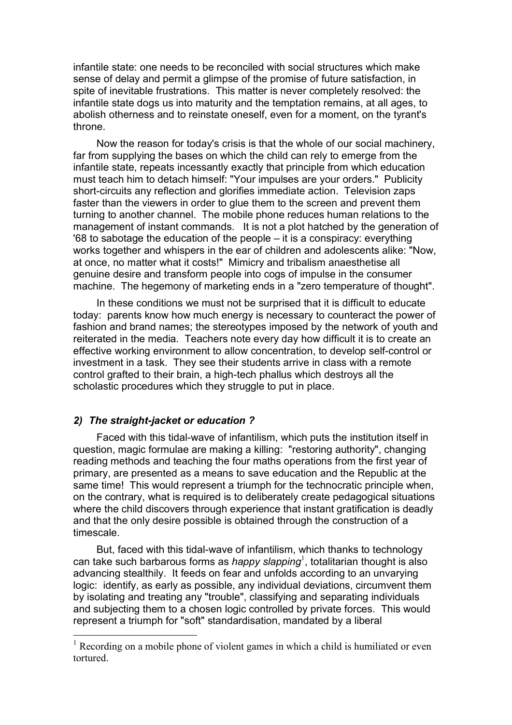infantile state: one needs to be reconciled with social structures which make sense of delay and permit a glimpse of the promise of future satisfaction, in spite of inevitable frustrations. This matter is never completely resolved: the infantile state dogs us into maturity and the temptation remains, at all ages, to abolish otherness and to reinstate oneself, even for a moment, on the tyrant's throne.

Now the reason for today's crisis is that the whole of our social machinery, far from supplying the bases on which the child can rely to emerge from the infantile state, repeats incessantly exactly that principle from which education must teach him to detach himself: "Your impulses are your orders." Publicity short-circuits any reflection and glorifies immediate action. Television zaps faster than the viewers in order to glue them to the screen and prevent them turning to another channel. The mobile phone reduces human relations to the management of instant commands. It is not a plot hatched by the generation of '68 to sabotage the education of the people – it is a conspiracy: everything works together and whispers in the ear of children and adolescents alike: "Now, at once, no matter what it costs!" Mimicry and tribalism anaesthetise all genuine desire and transform people into cogs of impulse in the consumer machine. The hegemony of marketing ends in a "zero temperature of thought".

In these conditions we must not be surprised that it is difficult to educate today: parents know how much energy is necessary to counteract the power of fashion and brand names; the stereotypes imposed by the network of youth and reiterated in the media. Teachers note every day how difficult it is to create an effective working environment to allow concentration, to develop self-control or investment in a task. They see their students arrive in class with a remote control grafted to their brain, a high-tech phallus which destroys all the scholastic procedures which they struggle to put in place.

## *2) The straight-jacket or education ?*

Faced with this tidal-wave of infantilism, which puts the institution itself in question, magic formulae are making a killing: "restoring authority", changing reading methods and teaching the four maths operations from the first year of primary, are presented as a means to save education and the Republic at the same time! This would represent a triumph for the technocratic principle when, on the contrary, what is required is to deliberately create pedagogical situations where the child discovers through experience that instant gratification is deadly and that the only desire possible is obtained through the construction of a timescale.

But, faced with this tidal-wave of infantilism, which thanks to technology can take such barbarous forms as *happy slapping*<sup>1</sup> , totalitarian thought is also advancing stealthily. It feeds on fear and unfolds according to an unvarying logic: identify, as early as possible, any individual deviations, circumvent them by isolating and treating any "trouble", classifying and separating individuals and subjecting them to a chosen logic controlled by private forces. This would represent a triumph for "soft" standardisation, mandated by a liberal

<sup>&</sup>lt;sup>1</sup> Recording on a mobile phone of violent games in which a child is humiliated or even tortured.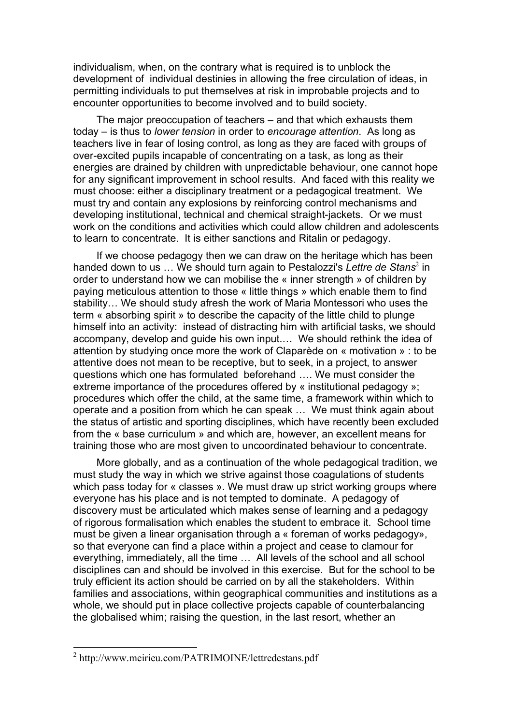individualism, when, on the contrary what is required is to unblock the development of individual destinies in allowing the free circulation of ideas, in permitting individuals to put themselves at risk in improbable projects and to encounter opportunities to become involved and to build society.

The major preoccupation of teachers – and that which exhausts them today – is thus to *lower tension* in order to *encourage attention*. As long as teachers live in fear of losing control, as long as they are faced with groups of over-excited pupils incapable of concentrating on a task, as long as their energies are drained by children with unpredictable behaviour, one cannot hope for any significant improvement in school results. And faced with this reality we must choose: either a disciplinary treatment or a pedagogical treatment. We must try and contain any explosions by reinforcing control mechanisms and developing institutional, technical and chemical straight-jackets. Or we must work on the conditions and activities which could allow children and adolescents to learn to concentrate. It is either sanctions and Ritalin or pedagogy.

If we choose pedagogy then we can draw on the heritage which has been handed down to us ... We should turn again to Pestalozzi's *Lettre de Stans*<sup>2</sup> in order to understand how we can mobilise the « inner strength » of children by paying meticulous attention to those « little things » which enable them to find stability… We should study afresh the work of Maria Montessori who uses the term « absorbing spirit » to describe the capacity of the little child to plunge himself into an activity: instead of distracting him with artificial tasks, we should accompany, develop and guide his own input.… We should rethink the idea of attention by studying once more the work of Claparède on « motivation » : to be attentive does not mean to be receptive, but to seek, in a project, to answer questions which one has formulated beforehand …. We must consider the extreme importance of the procedures offered by « institutional pedagogy »; procedures which offer the child, at the same time, a framework within which to operate and a position from which he can speak … We must think again about the status of artistic and sporting disciplines, which have recently been excluded from the « base curriculum » and which are, however, an excellent means for training those who are most given to uncoordinated behaviour to concentrate.

More globally, and as a continuation of the whole pedagogical tradition, we must study the way in which we strive against those coagulations of students which pass today for « classes ». We must draw up strict working groups where everyone has his place and is not tempted to dominate. A pedagogy of discovery must be articulated which makes sense of learning and a pedagogy of rigorous formalisation which enables the student to embrace it. School time must be given a linear organisation through a « foreman of works pedagogy», so that everyone can find a place within a project and cease to clamour for everything, immediately, all the time … All levels of the school and all school disciplines can and should be involved in this exercise. But for the school to be truly efficient its action should be carried on by all the stakeholders. Within families and associations, within geographical communities and institutions as a whole, we should put in place collective projects capable of counterbalancing the globalised whim; raising the question, in the last resort, whether an

 <sup>2</sup> http://www.meirieu.com/PATRIMOINE/lettredestans.pdf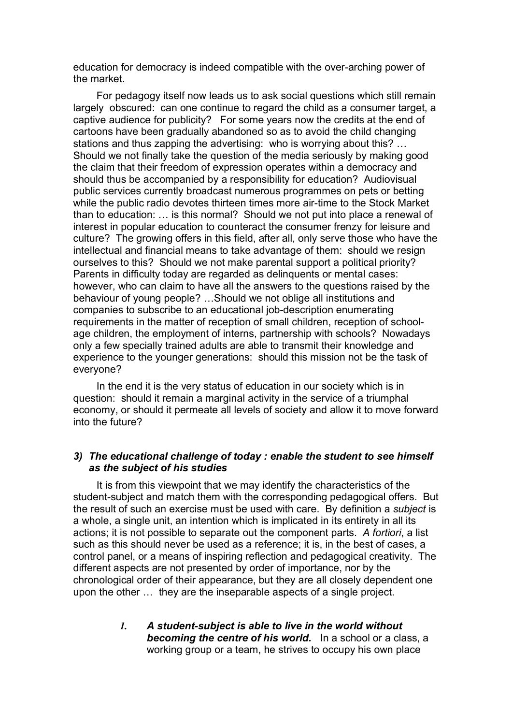education for democracy is indeed compatible with the over-arching power of the market.

For pedagogy itself now leads us to ask social questions which still remain largely obscured: can one continue to regard the child as a consumer target, a captive audience for publicity? For some years now the credits at the end of cartoons have been gradually abandoned so as to avoid the child changing stations and thus zapping the advertising: who is worrying about this? … Should we not finally take the question of the media seriously by making good the claim that their freedom of expression operates within a democracy and should thus be accompanied by a responsibility for education? Audiovisual public services currently broadcast numerous programmes on pets or betting while the public radio devotes thirteen times more air-time to the Stock Market than to education: … is this normal? Should we not put into place a renewal of interest in popular education to counteract the consumer frenzy for leisure and culture? The growing offers in this field, after all, only serve those who have the intellectual and financial means to take advantage of them: should we resign ourselves to this? Should we not make parental support a political priority? Parents in difficulty today are regarded as delinquents or mental cases: however, who can claim to have all the answers to the questions raised by the behaviour of young people? …Should we not oblige all institutions and companies to subscribe to an educational job-description enumerating requirements in the matter of reception of small children, reception of schoolage children, the employment of interns, partnership with schools? Nowadays only a few specially trained adults are able to transmit their knowledge and experience to the younger generations: should this mission not be the task of everyone?

In the end it is the very status of education in our society which is in question: should it remain a marginal activity in the service of a triumphal economy, or should it permeate all levels of society and allow it to move forward into the future?

# *3) The educational challenge of today : enable the student to see himself as the subject of his studies*

It is from this viewpoint that we may identify the characteristics of the student-subject and match them with the corresponding pedagogical offers. But the result of such an exercise must be used with care. By definition a *subject* is a whole, a single unit, an intention which is implicated in its entirety in all its actions; it is not possible to separate out the component parts. *A fortiori*, a list such as this should never be used as a reference; it is, in the best of cases, a control panel, or a means of inspiring reflection and pedagogical creativity. The different aspects are not presented by order of importance, nor by the chronological order of their appearance, but they are all closely dependent one upon the other … they are the inseparable aspects of a single project.

## *1. A student-subject is able to live in the world without becoming the centre of his world.* In a school or a class, a working group or a team, he strives to occupy his own place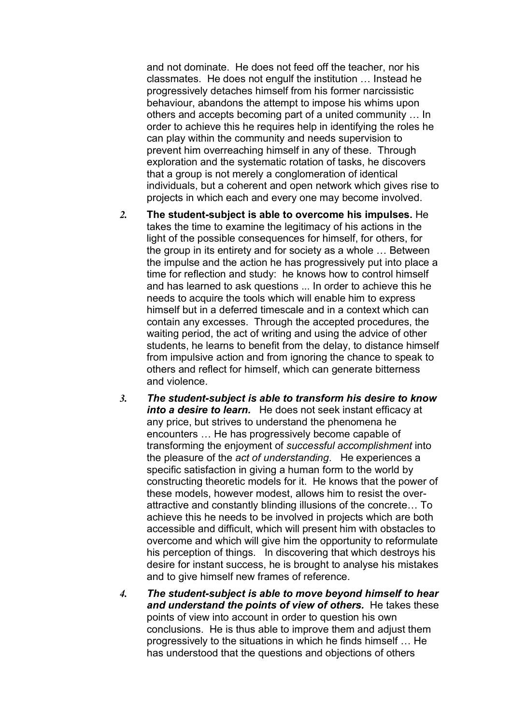and not dominate. He does not feed off the teacher, nor his classmates. He does not engulf the institution … Instead he progressively detaches himself from his former narcissistic behaviour, abandons the attempt to impose his whims upon others and accepts becoming part of a united community … In order to achieve this he requires help in identifying the roles he can play within the community and needs supervision to prevent him overreaching himself in any of these. Through exploration and the systematic rotation of tasks, he discovers that a group is not merely a conglomeration of identical individuals, but a coherent and open network which gives rise to projects in which each and every one may become involved.

- *2.* **The student-subject is able to overcome his impulses.** He takes the time to examine the legitimacy of his actions in the light of the possible consequences for himself, for others, for the group in its entirety and for society as a whole … Between the impulse and the action he has progressively put into place a time for reflection and study: he knows how to control himself and has learned to ask questions ... In order to achieve this he needs to acquire the tools which will enable him to express himself but in a deferred timescale and in a context which can contain any excesses. Through the accepted procedures, the waiting period, the act of writing and using the advice of other students, he learns to benefit from the delay, to distance himself from impulsive action and from ignoring the chance to speak to others and reflect for himself, which can generate bitterness and violence.
- *3. The student-subject is able to transform his desire to know into a desire to learn.* He does not seek instant efficacy at any price, but strives to understand the phenomena he encounters … He has progressively become capable of transforming the enjoyment of *successful accomplishment* into the pleasure of the *act of understanding*. He experiences a specific satisfaction in giving a human form to the world by constructing theoretic models for it. He knows that the power of these models, however modest, allows him to resist the overattractive and constantly blinding illusions of the concrete… To achieve this he needs to be involved in projects which are both accessible and difficult, which will present him with obstacles to overcome and which will give him the opportunity to reformulate his perception of things. In discovering that which destroys his desire for instant success, he is brought to analyse his mistakes and to give himself new frames of reference.
- *4. The student-subject is able to move beyond himself to hear and understand the points of view of others.* He takes these points of view into account in order to question his own conclusions. He is thus able to improve them and adjust them progressively to the situations in which he finds himself … He has understood that the questions and objections of others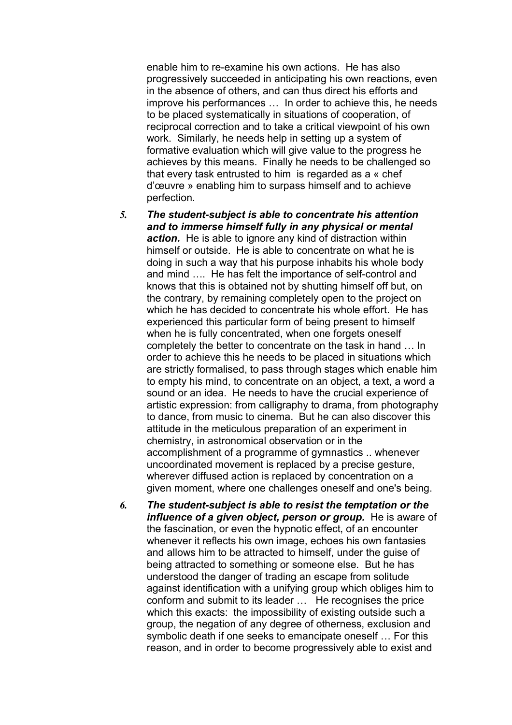enable him to re-examine his own actions. He has also progressively succeeded in anticipating his own reactions, even in the absence of others, and can thus direct his efforts and improve his performances … In order to achieve this, he needs to be placed systematically in situations of cooperation, of reciprocal correction and to take a critical viewpoint of his own work. Similarly, he needs help in setting up a system of formative evaluation which will give value to the progress he achieves by this means. Finally he needs to be challenged so that every task entrusted to him is regarded as a « chef d'œuvre » enabling him to surpass himself and to achieve perfection.

- *5. The student-subject is able to concentrate his attention and to immerse himself fully in any physical or mental action.* He is able to ignore any kind of distraction within himself or outside. He is able to concentrate on what he is doing in such a way that his purpose inhabits his whole body and mind …. He has felt the importance of self-control and knows that this is obtained not by shutting himself off but, on the contrary, by remaining completely open to the project on which he has decided to concentrate his whole effort. He has experienced this particular form of being present to himself when he is fully concentrated, when one forgets oneself completely the better to concentrate on the task in hand … In order to achieve this he needs to be placed in situations which are strictly formalised, to pass through stages which enable him to empty his mind, to concentrate on an object, a text, a word a sound or an idea. He needs to have the crucial experience of artistic expression: from calligraphy to drama, from photography to dance, from music to cinema. But he can also discover this attitude in the meticulous preparation of an experiment in chemistry, in astronomical observation or in the accomplishment of a programme of gymnastics .. whenever uncoordinated movement is replaced by a precise gesture, wherever diffused action is replaced by concentration on a given moment, where one challenges oneself and one's being.
- *6. The student-subject is able to resist the temptation or the influence of a given object, person or group.* He is aware of the fascination, or even the hypnotic effect, of an encounter whenever it reflects his own image, echoes his own fantasies and allows him to be attracted to himself, under the guise of being attracted to something or someone else. But he has understood the danger of trading an escape from solitude against identification with a unifying group which obliges him to conform and submit to its leader … He recognises the price which this exacts: the impossibility of existing outside such a group, the negation of any degree of otherness, exclusion and symbolic death if one seeks to emancipate oneself … For this reason, and in order to become progressively able to exist and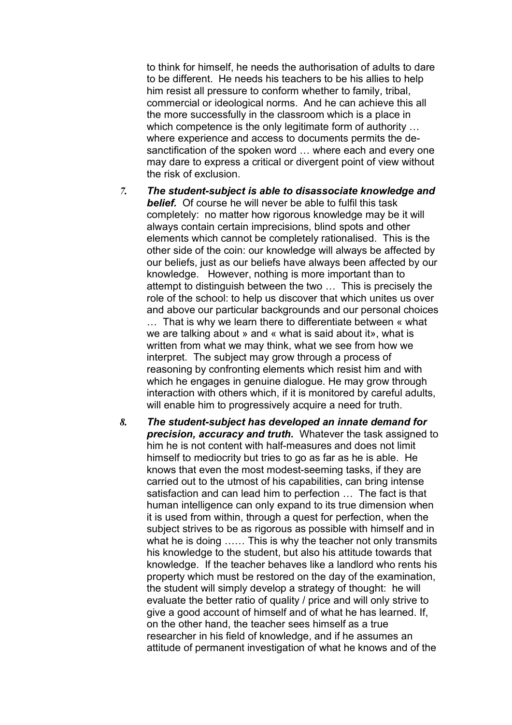to think for himself, he needs the authorisation of adults to dare to be different. He needs his teachers to be his allies to help him resist all pressure to conform whether to family, tribal, commercial or ideological norms. And he can achieve this all the more successfully in the classroom which is a place in which competence is the only legitimate form of authority … where experience and access to documents permits the desanctification of the spoken word … where each and every one may dare to express a critical or divergent point of view without the risk of exclusion.

- *7. The student-subject is able to disassociate knowledge and belief.* Of course he will never be able to fulfil this task completely: no matter how rigorous knowledge may be it will always contain certain imprecisions, blind spots and other elements which cannot be completely rationalised. This is the other side of the coin: our knowledge will always be affected by our beliefs, just as our beliefs have always been affected by our knowledge. However, nothing is more important than to attempt to distinguish between the two … This is precisely the role of the school: to help us discover that which unites us over and above our particular backgrounds and our personal choices … That is why we learn there to differentiate between « what we are talking about » and « what is said about it», what is written from what we may think, what we see from how we interpret. The subject may grow through a process of reasoning by confronting elements which resist him and with which he engages in genuine dialogue. He may grow through interaction with others which, if it is monitored by careful adults, will enable him to progressively acquire a need for truth.
- *8. The student-subject has developed an innate demand for precision, accuracy and truth.* Whatever the task assigned to him he is not content with half-measures and does not limit himself to mediocrity but tries to go as far as he is able. He knows that even the most modest-seeming tasks, if they are carried out to the utmost of his capabilities, can bring intense satisfaction and can lead him to perfection … The fact is that human intelligence can only expand to its true dimension when it is used from within, through a quest for perfection, when the subject strives to be as rigorous as possible with himself and in what he is doing ...... This is why the teacher not only transmits his knowledge to the student, but also his attitude towards that knowledge. If the teacher behaves like a landlord who rents his property which must be restored on the day of the examination, the student will simply develop a strategy of thought: he will evaluate the better ratio of quality / price and will only strive to give a good account of himself and of what he has learned. If, on the other hand, the teacher sees himself as a true researcher in his field of knowledge, and if he assumes an attitude of permanent investigation of what he knows and of the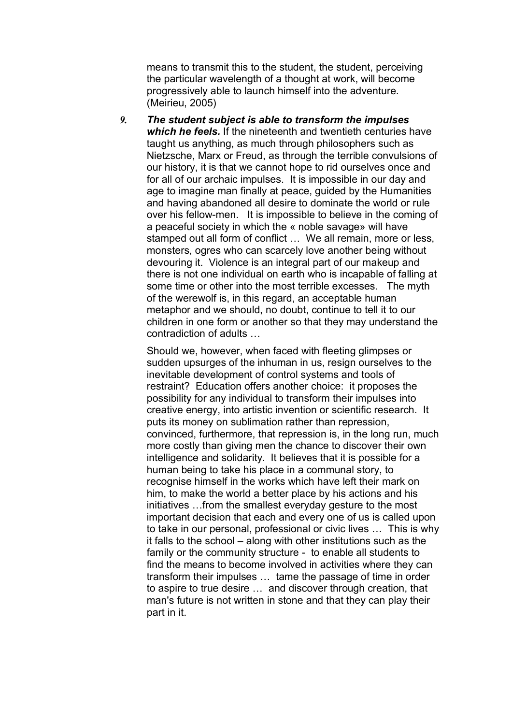means to transmit this to the student, the student, perceiving the particular wavelength of a thought at work, will become progressively able to launch himself into the adventure. (Meirieu, 2005)

*9. The student subject is able to transform the impulses which he feels.* If the nineteenth and twentieth centuries have taught us anything, as much through philosophers such as Nietzsche, Marx or Freud, as through the terrible convulsions of our history, it is that we cannot hope to rid ourselves once and for all of our archaic impulses. It is impossible in our day and age to imagine man finally at peace, guided by the Humanities and having abandoned all desire to dominate the world or rule over his fellow-men. It is impossible to believe in the coming of a peaceful society in which the « noble savage» will have stamped out all form of conflict … We all remain, more or less, monsters, ogres who can scarcely love another being without devouring it. Violence is an integral part of our makeup and there is not one individual on earth who is incapable of falling at some time or other into the most terrible excesses. The myth of the werewolf is, in this regard, an acceptable human metaphor and we should, no doubt, continue to tell it to our children in one form or another so that they may understand the contradiction of adults …

Should we, however, when faced with fleeting glimpses or sudden upsurges of the inhuman in us, resign ourselves to the inevitable development of control systems and tools of restraint? Education offers another choice: it proposes the possibility for any individual to transform their impulses into creative energy, into artistic invention or scientific research. It puts its money on sublimation rather than repression, convinced, furthermore, that repression is, in the long run, much more costly than giving men the chance to discover their own intelligence and solidarity. It believes that it is possible for a human being to take his place in a communal story, to recognise himself in the works which have left their mark on him, to make the world a better place by his actions and his initiatives …from the smallest everyday gesture to the most important decision that each and every one of us is called upon to take in our personal, professional or civic lives … This is why it falls to the school – along with other institutions such as the family or the community structure - to enable all students to find the means to become involved in activities where they can transform their impulses … tame the passage of time in order to aspire to true desire … and discover through creation, that man's future is not written in stone and that they can play their part in it.